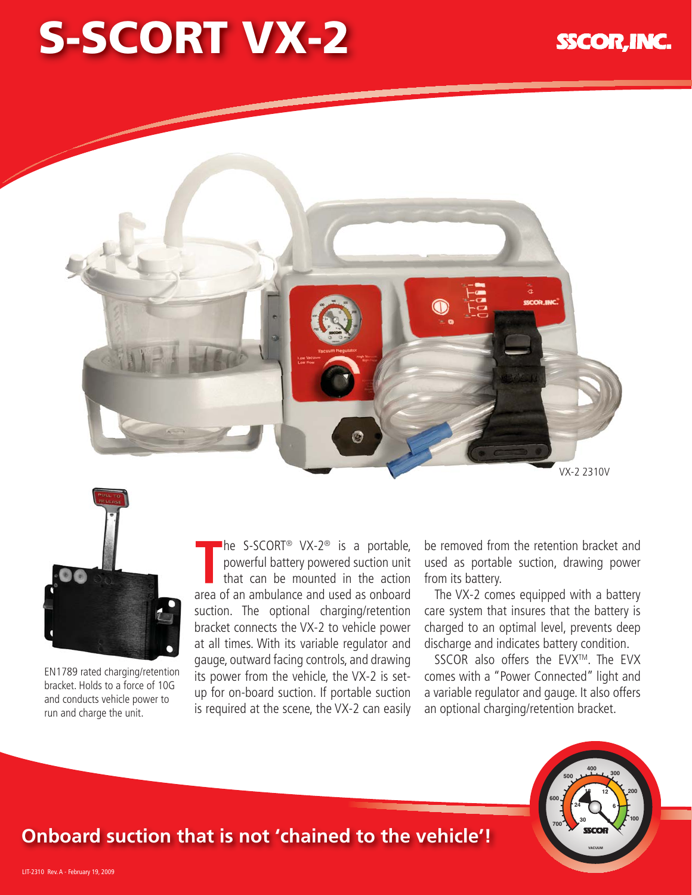## **SSCOR, INC**

## **S-SCORT VX-2**





EN1789 rated charging/retention bracket. Holds to a force of 10G and conducts vehicle power to run and charge the unit.

■he S-SCORT<sup>®</sup> VX-2<sup>®</sup> is a portable, powerful battery powered suction unit that can be mounted in the action area of an ambulance and used as onboard suction. The optional charging/retention bracket connects the VX-2 to vehicle power at all times. With its variable regulator and gauge, outward facing controls, and drawing its power from the vehicle, the VX-2 is setup for on-board suction. If portable suction is required at the scene, the VX-2 can easily

be removed from the retention bracket and used as portable suction, drawing power from its battery.

The VX-2 comes equipped with a battery care system that insures that the battery is charged to an optimal level, prevents deep discharge and indicates battery condition.

SSCOR also offers the EVX™. The EVX comes with a "Power Connected" light and a variable regulator and gauge. It also offers an optional charging/retention bracket.



## **Onboard suction that is not 'chained to the vehicle'!**